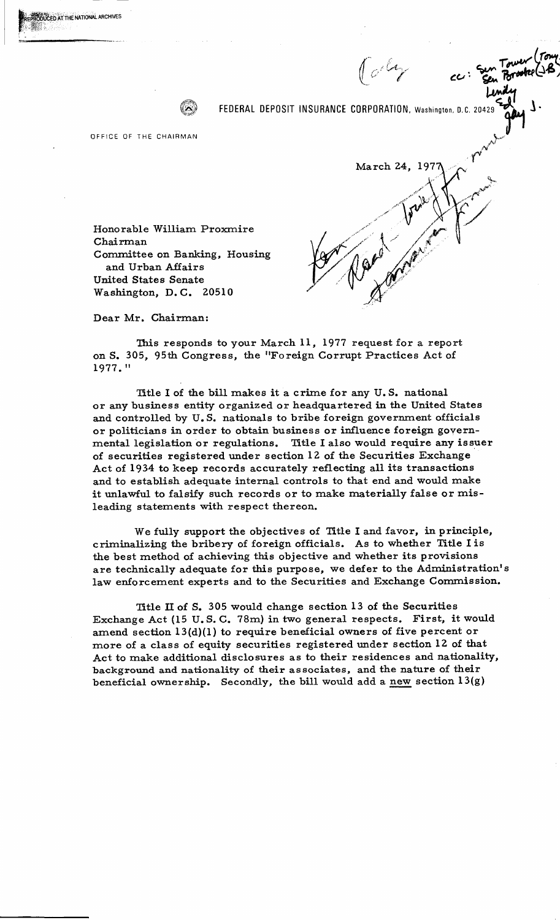

FEDERAL DEPOSIT INSURANCE CORPORATION, Washington, D.C. 2042

OFFICE OF THE CHAIRMAN

Honorable William Proxmire Chairman Committee on Banking, Housing and Urban Affairs **United States Senate** Washington, D.C. 20510

March 24, 197

Dear Mr. Chairman:

This responds to your March 11, 1977 request for a report on S. 305, 95th Congress, the "Foreign Corrupt Practices Act of 1977."

Title I of the bill makes it a crime for any U.S. national or any business entity organized or headquartered in the United States and controlled by U.S. nationals to bribe foreign government officials or politicians in order to obtain business or influence foreign governmental legislation or regulations. Title I also would require any issuer of securities registered under section 12 of the Securities Exchange Act of 1934 to keep records accurately reflecting all its transactions and to establish adequate internal controls to that end and would make it unlawful to falsify such records or to make materially false or misleading statements with respect thereon.

We fully support the objectives of Title I and favor, in principle, criminalizing the bribery of foreign officials. As to whether Title I is the best method of achieving this objective and whether its provisions are technically adequate for this purpose, we defer to the Administration's law enforcement experts and to the Securities and Exchange Commission.

Title II of S. 305 would change section 13 of the Securities Exchange Act (15 U.S.C. 78m) in two general respects. First, it would amend section  $13(d)(1)$  to require beneficial owners of five percent or more of a class of equity securities registered under section 12 of that Act to make additional disclosures as to their residences and nationality, background and nationality of their associates, and the nature of their beneficial ownership. Secondly, the bill would add a new section  $13(g)$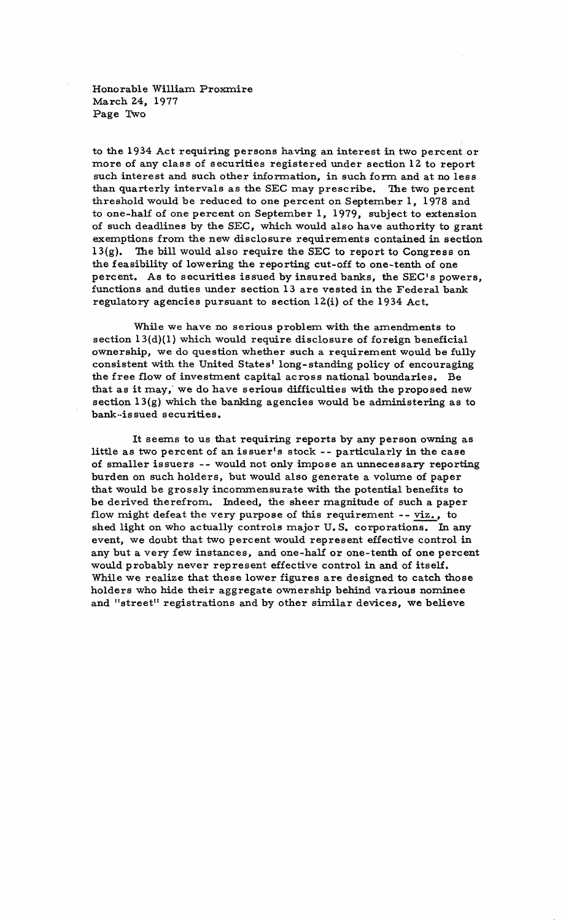Honorable William Proxmire March 24, 1977 Page Two

to the 1934 Act requiring persons having an interest in two percent or more of any class of securities registered under section 12 to report such interest and such other information, in such form and at no less than quarterly intervals as the SEC may prescribe. The two percent threshold would be reduced to one percent on September 1, 1978 and to one-half of one percent on September 1, 1979, subject to extension of such deadlines by the SEC, which would also have authority to grant exemptions from the new disclosure requirements contained in section 13(g). The bill would also require the SEC to report to Congress on the feasibility of lowering the reporting cut-off to one-tenth of one percent. As to securities issued by insured banks, the SEC's powers, functions and duties under section 13 are vested in the Federal bank regulatory agencies pursuant to section 12(i) of the 1934 Act.

While we have no serious problem with the amendments to section 13(d)(1) which would require disclosure of foreign beneficial ownership, we do question whether such a requirement would be fully consistent with the United States' long-standing policy of encouraging the free flow of investment capital across national boundaries. Be that as it may, we do have serious difficulties with the proposed new section l3(g) which the banking agencies would be administering as to bank-issued securities.

It seems to us that requiring reports by any person owning as little as two percent of an issuer's stock -- particularly in the case of smaller issuers -- would not only impose an unnecessary reporting burden on such holders, but would also generate a volume of paper that would be grossly inconunensurate with the potential benefits to be derived therefrom. Indeed, the sheer magnitude of such a paper flow might defeat the very purpose of this requirement  $-$ - viz., to shed light on who actually controls major U. S. corporations. In any event, we doubt that two percent would represent effective control in any but a very few instances, and one-half or one-tenth of one percent would probably never represent effective control in and of itself. While we realize that these lower figures are designed to catch those holders who hide their aggregate ownership behind various nominee and "street" registrations and by other similar devices, we believe